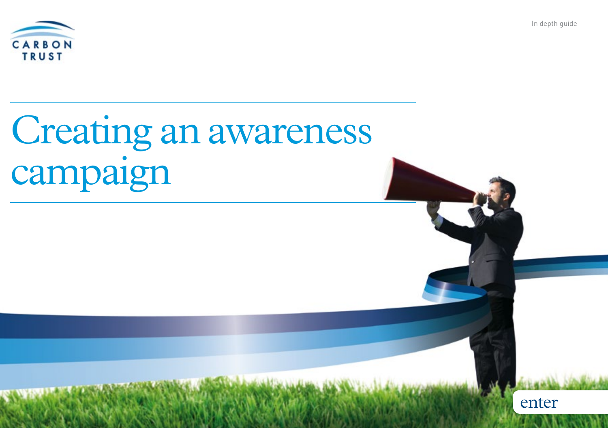

enter



# Creating an awareness campaign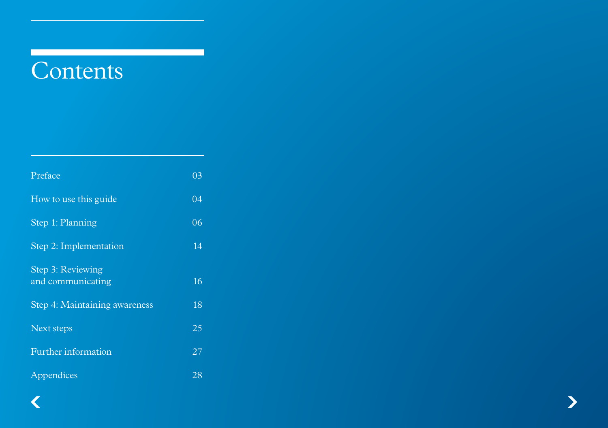# **Contents**

<span id="page-1-3"></span><span id="page-1-2"></span><span id="page-1-1"></span><span id="page-1-0"></span>

| 03 |
|----|
|    |
| 04 |
| 06 |
| 14 |
| 16 |
| 18 |
| 25 |
| 27 |
| 28 |
|    |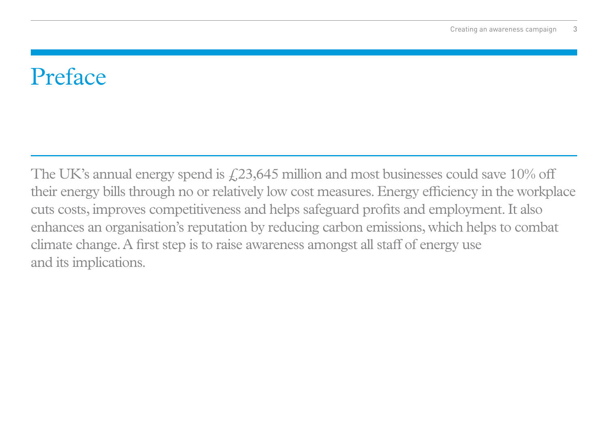# <span id="page-2-0"></span>Preface

The UK's annual energy spend is  $\text{\emph{f}}_2$ , 23, 645 million and most businesses could save 10% off their energy bills through no or relatively low cost measures. Energy efficiency in the workplace cuts costs, improves competitiveness and helps safeguard profits and employment. It also enhances an organisation's reputation by reducing carbon emissions, which helps to combat climate change. A first step is to raise awareness amongst all staff of energy use and its implications.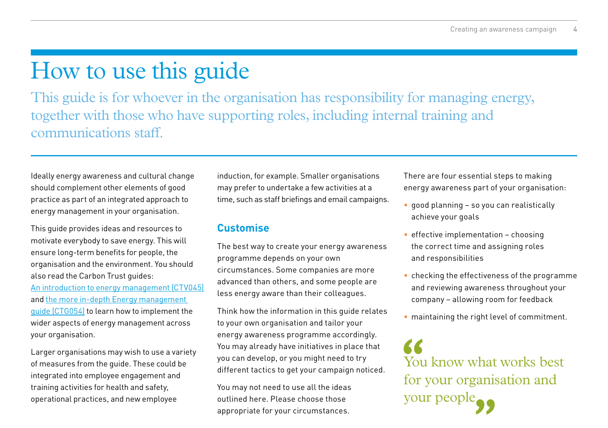# <span id="page-3-0"></span>[How to use this guide](#page-1-0)

This guide is for whoever in the organisation has responsibility for managing energy, together with those who have supporting roles, including internal training and communications staff.

Ideally energy awareness and cultural change should complement other elements of good practice as part of an integrated approach to energy management in your organisation.

This guide provides ideas and resources to motivate everybody to save energy. This will ensure long-term benefits for people, the organisation and the environment. You should also read the Carbon Trust guides: [An introduction to energy management \(CTV045\)](http://www.carbontrust.com/energymanagement) and [the more in-depth Energy management](http://www.carbontrust.com/energymanagement)  [guide \(CTG054\)](http://www.carbontrust.com/energymanagement) to learn how to implement the wider aspects of energy management across your organisation.

Larger organisations may wish to use a variety of measures from the guide. These could be integrated into employee engagement and training activities for health and safety, operational practices, and new employee

induction, for example. Smaller organisations may prefer to undertake a few activities at a time, such as staff briefings and email campaigns.

# **Customise**

The best way to create your energy awareness programme depends on your own circumstances. Some companies are more advanced than others, and some people are less energy aware than their colleagues.

Think how the information in this guide relates to your own organisation and tailor your energy awareness programme accordingly. You may already have initiatives in place that you can develop, or you might need to try different tactics to get your campaign noticed.

You may not need to use all the ideas outlined here. Please choose those appropriate for your circumstances.

There are four essential steps to making energy awareness part of your organisation:

- good planning so you can realistically achieve your goals
- $\bullet$  effective implementation choosing the correct time and assigning roles and responsibilities
- checking the effectiveness of the programme and reviewing awareness throughout your company – allowing room for feedback
- maintaining the right level of commitment.

You know what works best for your organisation and your people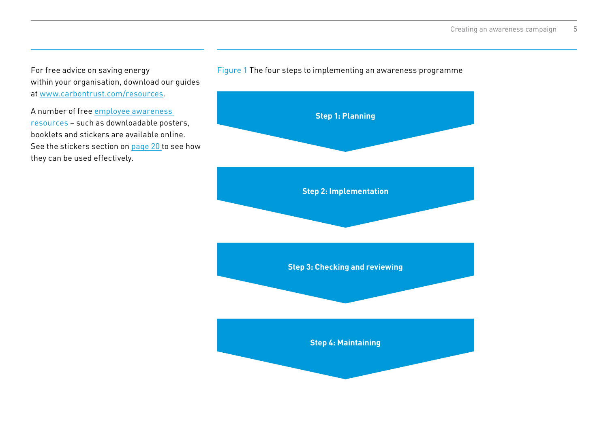For free advice on saving energy within your organisation, download our guides at [www.carbontrust.com/resources](http://www.carbontrust.com/resources).

A number of free [employee awareness](http://www.carbontrust.com/awareness)  [resources](http://www.carbontrust.com/awareness) – such as downloadable posters, booklets and stickers are available online. See the stickers section on [page 20](#page-19-0) to see how they can be used effectively.



#### Figure 1 The four steps to implementing an awareness programme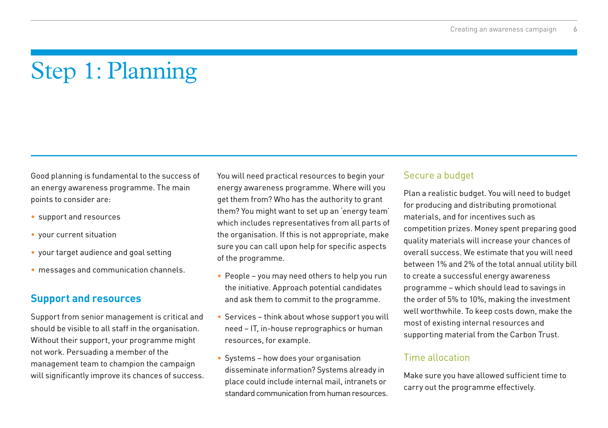# <span id="page-5-0"></span>[Step 1: Planning](#page-1-1)

Good planning is fundamental to the success of an energy awareness programme. The main points to consider are:

- • support and resources
- vour current situation
- • your target audience and goal setting
- messages and communication channels.

# **Support and resources**

Support from senior management is critical and should be visible to all staff in the organisation. Without their support, your programme might not work. Persuading a member of the management team to champion the campaign will significantly improve its chances of success.

You will need practical resources to begin your energy awareness programme. Where will you get them from? Who has the authority to grant them? You might want to set up an 'energy team' which includes representatives from all parts of the organisation. If this is not appropriate, make sure you can call upon help for specific aspects of the programme.

- People you may need others to help you run the initiative. Approach potential candidates and ask them to commit to the programme.
- Services think about whose support you will need – IT, in-house reprographics or human resources, for example.
- Systems how does your organisation disseminate information? Systems already in place could include internal mail, intranets or standard communication from human resources.

# Secure a budget

Plan a realistic budget. You will need to budget for producing and distributing promotional materials, and for incentives such as competition prizes. Money spent preparing good quality materials will increase your chances of overall success. We estimate that you will need between 1% and 2% of the total annual utility bill to create a successful energy awareness programme – which should lead to savings in the order of 5% to 10%, making the investment well worthwhile. To keep costs down, make the most of existing internal resources and supporting material from the Carbon Trust.

#### Time allocation

Make sure you have allowed sufficient time to carry out the programme effectively.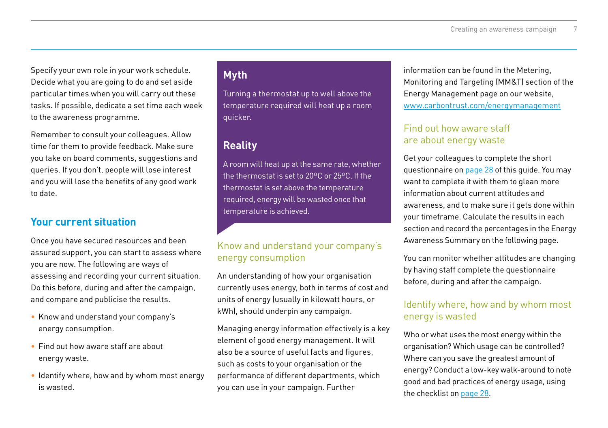Specify your own role in your work schedule. Decide what you are going to do and set aside particular times when you will carry out these tasks. If possible, dedicate a set time each week to the awareness programme.

Remember to consult your colleagues. Allow time for them to provide feedback. Make sure you take on board comments, suggestions and queries. If you don't, people will lose interest and you will lose the benefits of any good work to date.

# **Your current situation**

Once you have secured resources and been assured support, you can start to assess where you are now. The following are ways of assessing and recording your current situation. Do this before, during and after the campaign, and compare and publicise the results.

- Know and understand your company's energy consumption.
- Find out how aware staff are about energy waste.
- Identify where, how and by whom most energy is wasted.

# **Myth**

Turning a thermostat up to well above the temperature required will heat up a room quicker.

# **Reality**

A room will heat up at the same rate, whether the thermostat is set to 20ºC or 25ºC. If the thermostat is set above the temperature required, energy will be wasted once that temperature is achieved.

### Know and understand your company's energy consumption

An understanding of how your organisation currently uses energy, both in terms of cost and units of energy (usually in kilowatt hours, or kWh), should underpin any campaign.

Managing energy information effectively is a key element of good energy management. It will also be a source of useful facts and figures, such as costs to your organisation or the performance of different departments, which you can use in your campaign. Further

information can be found in the Metering, Monitoring and Targeting (MM&T) section of the Energy Management page on our [website,](http://www.carbontrust.com/energymanagement)  [www.carbontrus](http://www.carbontrust.com/energymanagement)t.com/energymanagement

#### Find out how aware staff are about energy waste

Get your colleagues to complete the short questionnaire on [page 28](#page-27-0) of this guide. You may want to complete it with them to glean more information about current attitudes and awareness, and to make sure it gets done within your timeframe. Calculate the results in each section and record the percentages in the Energy Awareness Summary on the following page.

You can monitor whether attitudes are changing by having staff complete the questionnaire before, during and after the campaign.

#### Identify where, how and by whom most energy is wasted

Who or what uses the most energy within the organisation? Which usage can be controlled? Where can you save the greatest amount of energy? Conduct a low-key walk-around to note good and bad practices of energy usage, using the checklist on [page 28](#page-27-0).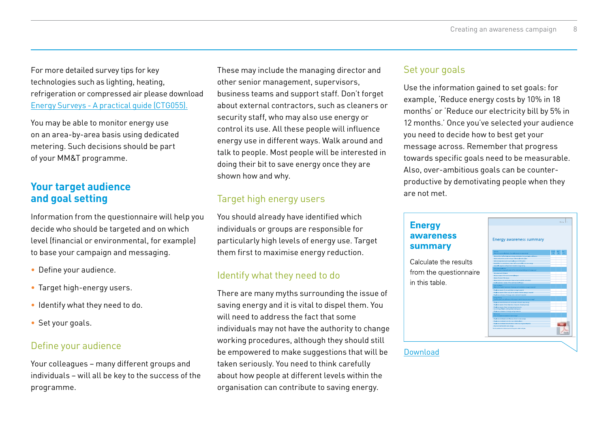<span id="page-7-0"></span>For more detailed survey tips for key technologies such as lighting, heating, refrigeration or compressed air please d[ownload](http://www.carbontrust.com/energymanagement)  [Energy Surveys - A practical gui](http://www.carbontrust.com/energymanagement)de (CTG055).

You may be able to monitor energy use on an area-by-area basis using dedicated metering. Such decisions should be part of your MM&T programme.

# **Your target audience and goal setting**

Information from the questionnaire will help you decide who should be targeted and on which level (financial or environmental, for example) to base your campaign and messaging.

- Define your audience.
- Target high-energy users.
- Identify what they need to do.
- Set your goals.

# Define your audience

Your colleagues – many different groups and individuals – will all be key to the success of the programme.

These may include the managing director and other senior management, supervisors, business teams and support staff. Don't forget about external contractors, such as cleaners or security staff, who may also use energy or control its use. All these people will influence energy use in different ways. Walk around and talk to people. Most people will be interested in doing their bit to save energy once they are shown how and why.

# Target high energy users

You should already have identified which individuals or groups are responsible for particularly high levels of energy use. Target them first to maximise energy reduction.

# Identify what they need to do

There are many myths surrounding the issue of saving energy and it is vital to dispel them. You will need to address the fact that some individuals may not have the authority to change working procedures, although they should still be empowered to make suggestions that will be taken seriously. You need to think carefully about how people at different levels within the organisation can contribute to saving energy.

#### Set your goals

Use the information gained to set goals: for example, 'Reduce energy costs by 10% in 18 months' or 'Reduce our electricity bill by 5% in 12 months.' Once you've selected your audience you need to decide how to best get your message across. Remember that progress towards specific goals need to be measurable. Also, over-ambitious goals can be counterproductive by demotivating people when they are not met.

#### **Energy** awareness summary

Calculate the results from the questionnaire in this table



#### [Download](http://www.carbontrust.com/media/436278/energy-awareness-summary.pdf)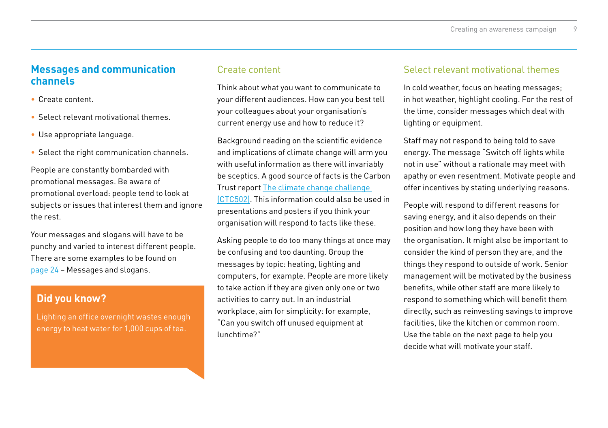### **Messages and communication channels**

- • Create content.
- Select relevant motivational themes.
- Use appropriate language.
- Select the right communication channels.

People are constantly bombarded with promotional messages. Be aware of promotional overload: people tend to look at subjects or issues that interest them and ignore the rest.

Your messages and slogans will have to be punchy and varied to interest different people. There are some examples to be found on [page 24](#page-23-0) – Messages and slogans.

# **Did you know?**

Lighting an office overnight wastes enough energy to heat water for 1,000 cups of tea.

#### Create content

Think about what you want to communicate to your different audiences. How can you best tell your colleagues about your organisation's current energy use and how to reduce it?

Background reading on the scientific evidence and implications of climate change will arm you with useful information as there will invariably be sceptics. A good source of facts is the Carbon Trust report [The climate change challenge](http://www.carbontrust.com/resources/reports/advice/the-climate-change-challenge)  [\(CTC502\)](http://www.carbontrust.com/resources/reports/advice/the-climate-change-challenge). This information could also be used in presentations and posters if you think your organisation will respond to facts like these.

Asking people to do too many things at once may be confusing and too daunting. Group the messages by topic: heating, lighting and computers, for example. People are more likely to take action if they are given only one or two activities to carry out. In an industrial workplace, aim for simplicity: for example, "Can you switch off unused equipment at lunchtime?"

### Select relevant motivational themes

In cold weather, focus on heating messages; in hot weather, highlight cooling. For the rest of the time, consider messages which deal with lighting or equipment.

Staff may not respond to being told to save energy. The message "Switch off lights while not in use" without a rationale may meet with apathy or even resentment. Motivate people and offer incentives by stating underlying reasons.

People will respond to different reasons for saving energy, and it also depends on their position and how long they have been with the organisation. It might also be important to consider the kind of person they are, and the things they respond to outside of work. Senior management will be motivated by the business benefits, while other staff are more likely to respond to something which will benefit them directly, such as reinvesting savings to improve facilities, like the kitchen or common room. Use the table on the next page to help you decide what will motivate your staff.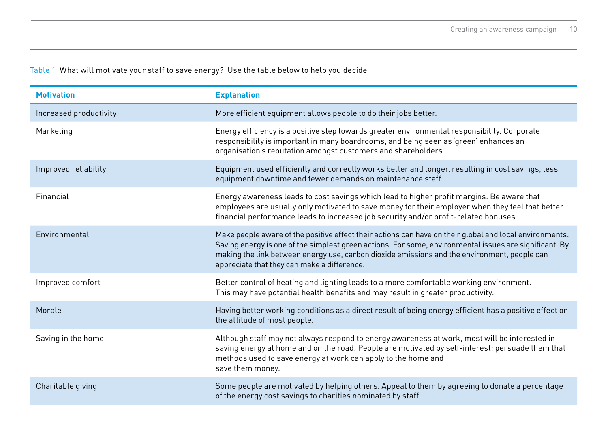# Table 1 What will motivate your staff to save energy? Use the table below to help you decide

| <b>Motivation</b>      | <b>Explanation</b>                                                                                                                                                                                                                                                                                                                                               |
|------------------------|------------------------------------------------------------------------------------------------------------------------------------------------------------------------------------------------------------------------------------------------------------------------------------------------------------------------------------------------------------------|
| Increased productivity | More efficient equipment allows people to do their jobs better.                                                                                                                                                                                                                                                                                                  |
| Marketing              | Energy efficiency is a positive step towards greater environmental responsibility. Corporate<br>responsibility is important in many boardrooms, and being seen as 'green' enhances an<br>organisation's reputation amongst customers and shareholders.                                                                                                           |
| Improved reliability   | Equipment used efficiently and correctly works better and longer, resulting in cost savings, less<br>equipment downtime and fewer demands on maintenance staff.                                                                                                                                                                                                  |
| Financial              | Energy awareness leads to cost savings which lead to higher profit margins. Be aware that<br>employees are usually only motivated to save money for their employer when they feel that better<br>financial performance leads to increased job security and/or profit-related bonuses.                                                                            |
| Environmental          | Make people aware of the positive effect their actions can have on their global and local environments.<br>Saving energy is one of the simplest green actions. For some, environmental issues are significant. By<br>making the link between energy use, carbon dioxide emissions and the environment, people can<br>appreciate that they can make a difference. |
| Improved comfort       | Better control of heating and lighting leads to a more comfortable working environment.<br>This may have potential health benefits and may result in greater productivity.                                                                                                                                                                                       |
| Morale                 | Having better working conditions as a direct result of being energy efficient has a positive effect on<br>the attitude of most people.                                                                                                                                                                                                                           |
| Saving in the home     | Although staff may not always respond to energy awareness at work, most will be interested in<br>saving energy at home and on the road. People are motivated by self-interest; persuade them that<br>methods used to save energy at work can apply to the home and<br>save them money.                                                                           |
| Charitable giving      | Some people are motivated by helping others. Appeal to them by agreeing to donate a percentage<br>of the energy cost savings to charities nominated by staff.                                                                                                                                                                                                    |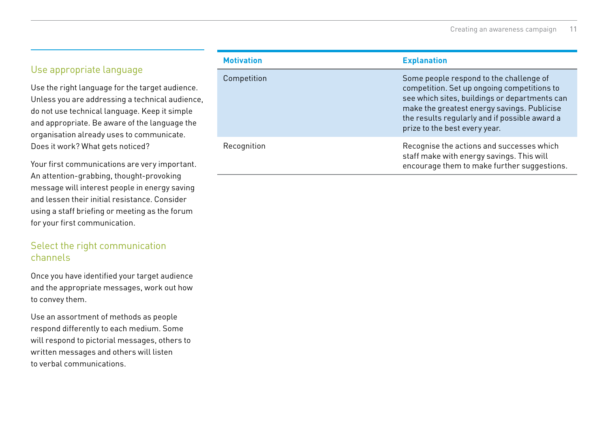# Use appropriate language

Use the right language for the target audience. Unless you are addressing a technical audience, do not use technical language. Keep it simple and appropriate. Be aware of the language the organisation already uses to communicate. Does it work? What gets noticed?

Your first communications are very important. An attention-grabbing, thought-provoking message will interest people in energy saving and lessen their initial resistance. Consider using a staff briefing or meeting as the forum for your first communication.

#### Select the right communication channels

Once you have identified your target audience and the appropriate messages, work out how to convey them.

Use an assortment of methods as people respond differently to each medium. Some will respond to pictorial messages, others to written messages and others will listen to verbal communications.

| <b>Motivation</b> | <b>Explanation</b>                                                                                                                                                                                                                                                       |
|-------------------|--------------------------------------------------------------------------------------------------------------------------------------------------------------------------------------------------------------------------------------------------------------------------|
| Competition       | Some people respond to the challenge of<br>competition. Set up ongoing competitions to<br>see which sites, buildings or departments can<br>make the greatest energy savings. Publicise<br>the results regularly and if possible award a<br>prize to the best every year. |
| Recognition       | Recognise the actions and successes which<br>staff make with energy savings. This will<br>encourage them to make further suggestions.                                                                                                                                    |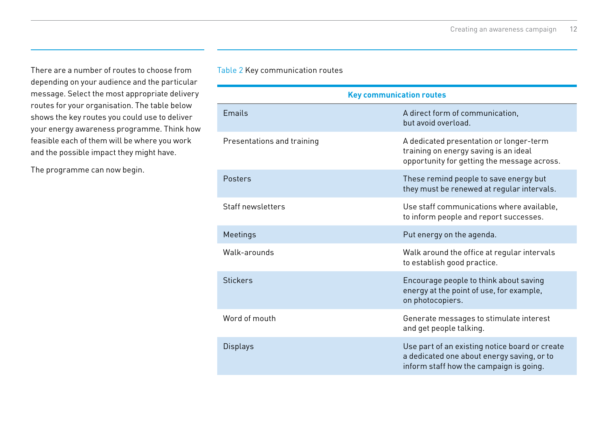There are a number of routes to choose from depending on your audience and the particular message. Select the most appropriate delivery routes for your organisation. The table below shows the key routes you could use to deliver your energy awareness programme. Think how feasible each of them will be where you work and the possible impact they might have.

The programme can now begin.

#### Table 2 Key communication routes

| <b>Key communication routes</b> |                                                                                                                                         |
|---------------------------------|-----------------------------------------------------------------------------------------------------------------------------------------|
| <b>Fmails</b>                   | A direct form of communication.<br>but avoid overload.                                                                                  |
| Presentations and training      | A dedicated presentation or longer-term<br>training on energy saving is an ideal<br>opportunity for getting the message across.         |
| Posters                         | These remind people to save energy but<br>they must be renewed at regular intervals.                                                    |
| Staff newsletters               | Use staff communications where available.<br>to inform people and report successes.                                                     |
| Meetings                        | Put energy on the agenda.                                                                                                               |
| Walk-arounds                    | Walk around the office at regular intervals<br>to establish good practice.                                                              |
| <b>Stickers</b>                 | Encourage people to think about saving<br>energy at the point of use, for example,<br>on photocopiers.                                  |
| Word of mouth                   | Generate messages to stimulate interest<br>and get people talking.                                                                      |
| <b>Displays</b>                 | Use part of an existing notice board or create<br>a dedicated one about energy saving, or to<br>inform staff how the campaign is going. |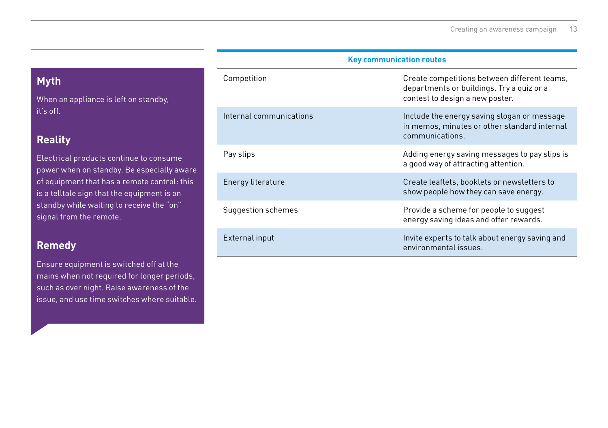# **Myth**

When an appliance is left on standby, it's off.

# **Reality**

Electrical products continue to consume power when on standby. Be especially aware of equipment that has a remote control: this is a telltale sign that the equipment is on standby while waiting to receive the "on" signal from the remote.

# **Remedy**

Ensure equipment is switched off at the mains when not required for longer periods, such as over night. Raise awareness of the issue, and use time switches where suitable.

| Competition             | Create competitions between different teams,<br>departments or buildings. Try a quiz or a<br>contest to design a new poster. |
|-------------------------|------------------------------------------------------------------------------------------------------------------------------|
| Internal communications | Include the energy saving slogan or message<br>in memos, minutes or other standard internal<br>communications.               |
| Pay slips               | Adding energy saving messages to pay slips is<br>a good way of attracting attention.                                         |
| Energy literature       | Create leaflets, booklets or newsletters to<br>show people how they can save energy.                                         |
| Suggestion schemes      | Provide a scheme for people to suggest<br>energy saving ideas and offer rewards.                                             |
| External input          | Invite experts to talk about energy saving and<br>environmental issues.                                                      |

**Key communication routes**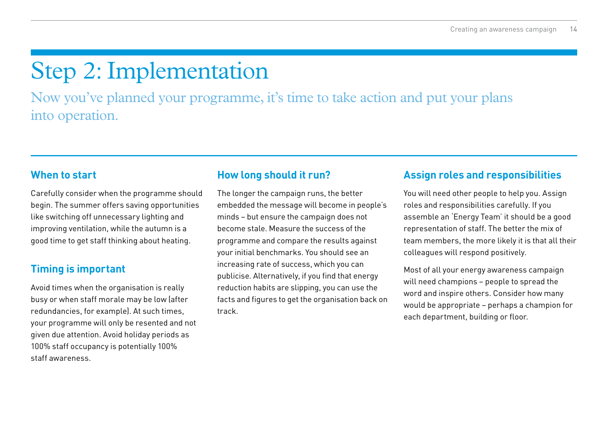# <span id="page-13-0"></span>[Step 2: Implementation](#page-1-2)

Now you've planned your programme, it's time to take action and put your plans into operation.

# **When to start**

Carefully consider when the programme should begin. The summer offers saving opportunities like switching off unnecessary lighting and improving ventilation, while the autumn is a good time to get staff thinking about heating.

# **Timing is important**

Avoid times when the organisation is really busy or when staff morale may be low (after redundancies, for example). At such times, your programme will only be resented and not given due attention. Avoid holiday periods as 100% staff occupancy is potentially 100% staff awareness.

# **How long should it run?**

The longer the campaign runs, the better embedded the message will become in people's minds – but ensure the campaign does not become stale. Measure the success of the programme and compare the results against your initial benchmarks. You should see an increasing rate of success, which you can publicise. Alternatively, if you find that energy reduction habits are slipping, you can use the facts and figures to get the organisation back on track.

# **Assign roles and responsibilities**

You will need other people to help you. Assign roles and responsibilities carefully. If you assemble an 'Energy Team' it should be a good representation of staff. The better the mix of team members, the more likely it is that all their colleagues will respond positively.

Most of all your energy awareness campaign will need champions – people to spread the word and inspire others. Consider how many would be appropriate – perhaps a champion for each department, building or floor.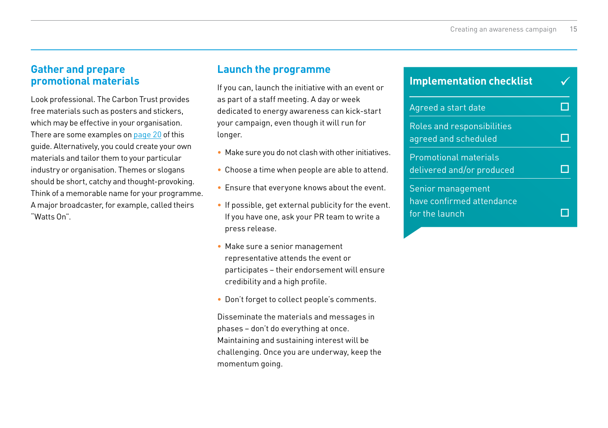# **Gather and prepare promotional materials**

Look professional. The Carbon Trust provides free materials such as posters and stickers, which may be effective in your organisation. There are some examples on [page 20](#page-19-0) of this guide. Alternatively, you could create your own materials and tailor them to your particular industry or organisation. Themes or slogans should be short, catchy and thought-provoking. Think of a memorable name for your programme. A major broadcaster, for example, called theirs "Watts On".

# **Launch the programme**

If you can, launch the initiative with an event or as part of a staff meeting. A day or week dedicated to energy awareness can kick-start your campaign, even though it will run for longer.

- Make sure you do not clash with other initiatives.
- Choose a time when people are able to attend.
- Ensure that everyone knows about the event.
- If possible, get external publicity for the event. If you have one, ask your PR team to write a press release.
- Make sure a senior management representative attends the event or participates – their endorsement will ensure credibility and a high profile.
- Don't forget to collect people's comments.

Disseminate the materials and messages in phases – don't do everything at once. Maintaining and sustaining interest will be challenging. Once you are underway, keep the momentum going.

| <b>Implementation checklist</b>                                  |  |
|------------------------------------------------------------------|--|
| Agreed a start date                                              |  |
| Roles and responsibilities<br>agreed and scheduled               |  |
| <b>Promotional materials</b><br>delivered and/or produced        |  |
| Senior management<br>have confirmed attendance<br>for the launch |  |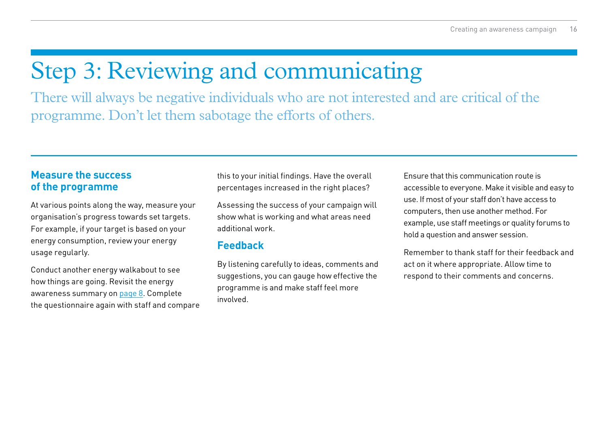# <span id="page-15-0"></span>[Step 3: Reviewing and communicating](#page-1-3)

There will always be negative individuals who are not interested and are critical of the programme. Don't let them sabotage the efforts of others.

# **Measure the success of the programme**

At various points along the way, measure your organisation's progress towards set targets. For example, if your target is based on your energy consumption, review your energy usage regularly.

Conduct another energy walkabout to see how things are going. Revisit the energy awareness summary on [page 8](#page-7-0). Complete the questionnaire again with staff and compare this to your initial findings. Have the overall percentages increased in the right places?

Assessing the success of your campaign will show what is working and what areas need additional work.

# **Feedback**

By listening carefully to ideas, comments and suggestions, you can gauge how effective the programme is and make staff feel more involved.

Ensure that this communication route is accessible to everyone. Make it visible and easy to use. If most of your staff don't have access to computers, then use another method. For example, use staff meetings or quality forums to hold a question and answer session.

Remember to thank staff for their feedback and act on it where appropriate. Allow time to respond to their comments and concerns.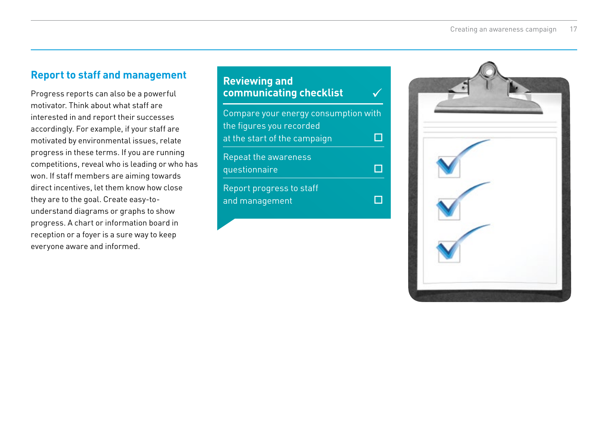# **Report to staff and management**

Progress reports can also be a powerful motivator. Think about what staff are interested in and report their successes accordingly. For example, if your staff are motivated by environmental issues, relate progress in these terms. If you are running competitions, reveal who is leading or who has won. If staff members are aiming towards direct incentives, let them know how close they are to the goal. Create easy-tounderstand diagrams or graphs to show progress. A chart or information board in reception or a foyer is a sure way to keep everyone aware and informed.

#### Compare your energy consumption with the figures you recorded at the start of the campaign  $\Box$ Repeat the awareness questionnaire  $\Box$ Report progress to staff and management  $\Box$ **Reviewing and communicating checklist** ü

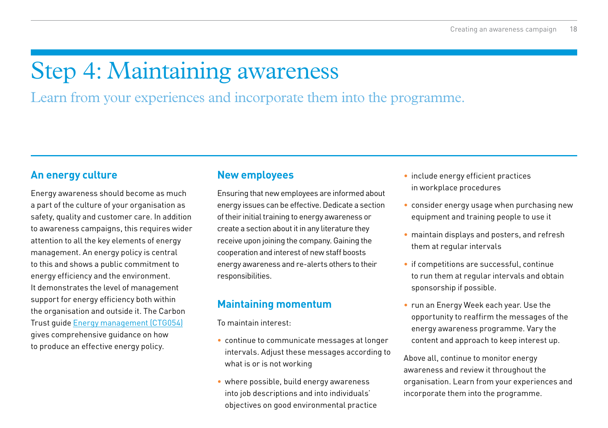# <span id="page-17-0"></span>Step 4: Maintaining awareness

Learn from your experiences and incorporate them into the programme.

# **An energy culture**

Energy awareness should become as much a part of the culture of your organisation as safety, quality and customer care. In addition to awareness campaigns, this requires wider attention to all the key elements of energy management. An energy policy is central to this and shows a public commitment to energy efficiency and the environment. It demonstrates the level of management support for energy efficiency both within the organisation and outside it. The Carbon Trust guide [Energy management \(CTG054\)](http://www.carbontrust.com/energymanagement) gives comprehensive guidance on how to produce an effective energy policy.

### **New employees**

Ensuring that new employees are informed about energy issues can be effective. Dedicate a section of their initial training to energy awareness or create a section about it in any literature they receive upon joining the company. Gaining the cooperation and interest of new staff boosts energy awareness and re-alerts others to their responsibilities.

# **Maintaining momentum**

To maintain interest:

- continue to communicate messages at longer intervals. Adjust these messages according to what is or is not working
- where possible, build energy awareness into job descriptions and into individuals' objectives on good environmental practice
- include energy efficient practices in workplace procedures
- consider energy usage when purchasing new equipment and training people to use it
- maintain displays and posters, and refresh them at regular intervals
- if competitions are successful, continue to run them at regular intervals and obtain sponsorship if possible.
- run an Energy Week each year. Use the opportunity to reaffirm the messages of the energy awareness programme. Vary the content and approach to keep interest up.

Above all, continue to monitor energy awareness and review it throughout the organisation. Learn from your experiences and incorporate them into the programme.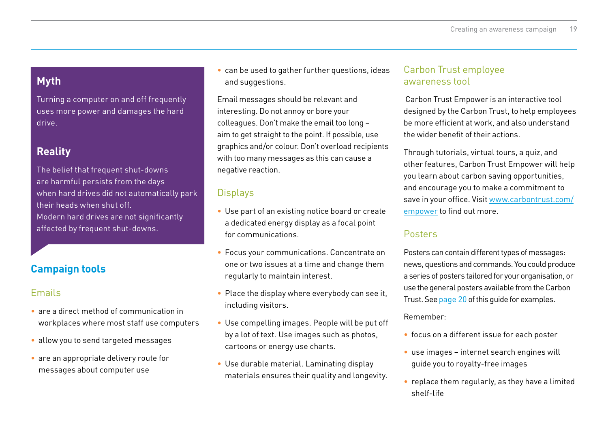# **Myth**

Turning a computer on and off frequently uses more power and damages the hard drive.

# **Reality**

The belief that frequent shut-downs are harmful persists from the days when hard drives did not automatically park their heads when shut off. Modern hard drives are not significantly affected by frequent shut-downs.

# **Campaign tools**

# Emails

- are a direct method of communication in workplaces where most staff use computers
- allow you to send targeted messages
- are an appropriate delivery route for messages about computer use

• can be used to gather further questions, ideas and suggestions.

Email messages should be relevant and interesting. Do not annoy or bore your colleagues. Don't make the email too long – aim to get straight to the point. If possible, use graphics and/or colour. Don't overload recipients with too many messages as this can cause a negative reaction.

# **Displays**

- Use part of an existing notice board or create a dedicated energy display as a focal point for communications.
- Focus your communications. Concentrate on one or two issues at a time and change them regularly to maintain interest.
- $\bullet$  Place the display where everybody can see it, including visitors.
- Use compelling images. People will be put off by a lot of text. Use images such as photos, cartoons or energy use charts.
- Use durable material. Laminating display materials ensures their quality and longevity.

#### Carbon Trust employee awareness tool

 Carbon Trust Empower is an interactive tool designed by the Carbon Trust, to help employees be more efficient at work, and also understand the wider benefit of their actions.

Through tutorials, virtual tours, a quiz, and other features, Carbon Trust Empower will help you learn about carbon saving opportunities, and encourage you to make a commitment to save in your office. Visit [www.carbontrust.com/](http://www.carbontrust.com/empower) [empower](http://www.carbontrust.com/empower) to find out more.

# Posters

Posters can contain different types of messages: news, questions and commands. You could produce a series of posters tailored for your organisation, or use the general posters available from the Carbon Trust. See page 20 of this guide for examples.

#### Remember:

- focus on a different issue for each poster
- use images internet search engines will guide you to royalty-free images
- $\bullet$  replace them regularly, as they have a limited shelf-life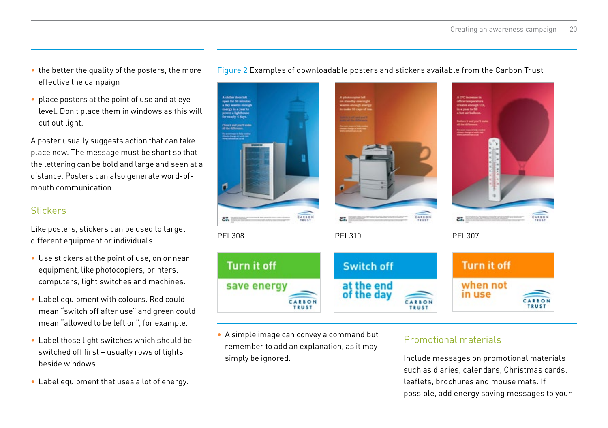- <span id="page-19-0"></span>• the better the quality of the posters, the more effective the campaign
- place posters at the point of use and at eye level. Don't place them in windows as this will cut out light.

A poster usually suggests action that can take place now. The message must be short so that the lettering can be bold and large and seen at a distance. Posters can also generate word-ofmouth communication.

# **Stickers**

Like posters, stickers can be used to target different equipment or individuals.

- Use stickers at the point of use, on or near equipment, like photocopiers, printers, computers, light switches and machines.
- • Label equipment with colours. Red could mean "switch off after use" and green could mean "allowed to be left on", for example.
- Label those light switches which should be switched off first – usually rows of lights beside windows.
- Label equipment that uses a lot of energy.

# Figure 2 Examples of downloadable posters and stickers available from the Carbon Trust



• A simple image can convey a command but remember to add an explanation, as it may simply be ignored.

### Promotional materials

Include messages on promotional materials such as diaries, calendars, Christmas cards, leaflets, brochures and mouse mats. If possible, add energy saving messages to your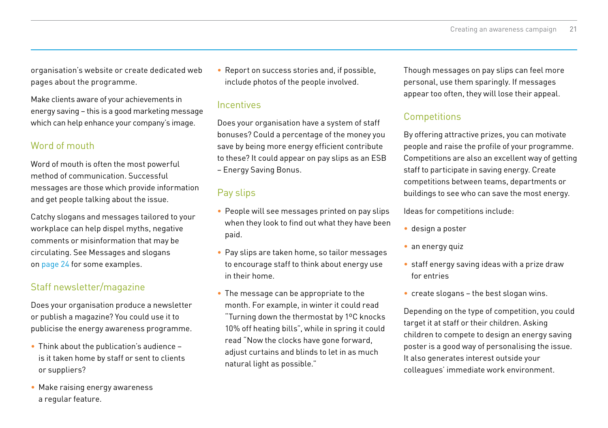organisation's website or create dedicated web pages about the programme.

Make clients aware of your achievements in energy saving – this is a good marketing message which can help enhance your company's image.

# Word of mouth

Word of mouth is often the most powerful method of communication. Successful messages are those which provide information and get people talking about the issue.

Catchy slogans and messages tailored to your workplace can help dispel myths, negative comments or misinformation that may be circulating. See Messages and slogans on [page 24](#page-23-0) for some examples.

# Staff newsletter/magazine

Does your organisation produce a newsletter or publish a magazine? You could use it to publicise the energy awareness programme.

- Think about the publication's audience is it taken home by staff or sent to clients or suppliers?
- Make raising energy awareness a regular feature.

• Report on success stories and, if possible, include photos of the people involved.

#### **Incentives**

Does your organisation have a system of staff bonuses? Could a percentage of the money you save by being more energy efficient contribute to these? It could appear on pay slips as an ESB – Energy Saving Bonus.

# Pay slips

- People will see messages printed on pay slips when they look to find out what they have been paid.
- Pay slips are taken home, so tailor messages to encourage staff to think about energy use in their home.
- The message can be appropriate to the month. For example, in winter it could read "Turning down the thermostat by 1ºC knocks 10% off heating bills", while in spring it could read "Now the clocks have gone forward, adjust curtains and blinds to let in as much natural light as possible."

Though messages on pay slips can feel more personal, use them sparingly. If messages appear too often, they will lose their appeal.

# **Competitions**

By offering attractive prizes, you can motivate people and raise the profile of your programme. Competitions are also an excellent way of getting staff to participate in saving energy. Create competitions between teams, departments or buildings to see who can save the most energy.

Ideas for competitions include:

- • design a poster
- an energy quiz
- staff energy saving ideas with a prize draw for entries
- create slogans the best slogan wins.

Depending on the type of competition, you could target it at staff or their children. Asking children to compete to design an energy saving poster is a good way of personalising the issue. It also generates interest outside your colleagues' immediate work environment.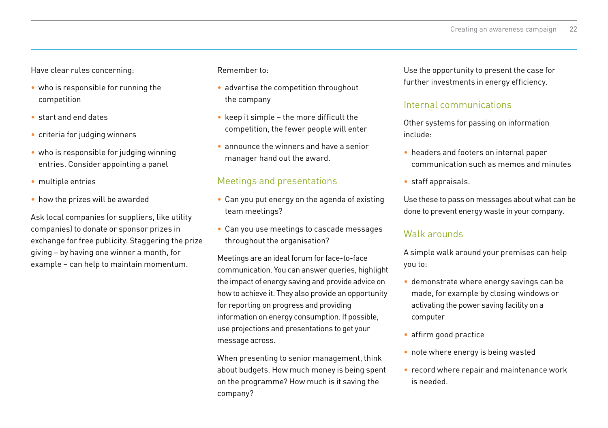Have clear rules concerning:

- who is responsible for running the competition
- • start and end dates
- criteria for judging winners
- who is responsible for judging winning entries. Consider appointing a panel
- multiple entries
- how the prizes will be awarded

Ask local companies (or suppliers, like utility companies) to donate or sponsor prizes in exchange for free publicity. Staggering the prize giving – by having one winner a month, for example – can help to maintain momentum.

Remember to:

- advertise the competition throughout the company
- $\bullet$  keep it simple the more difficult the competition, the fewer people will enter
- announce the winners and have a senior manager hand out the award.

#### Meetings and presentations

- Can you put energy on the agenda of existing team meetings?
- Can you use meetings to cascade messages throughout the organisation?

Meetings are an ideal forum for face-to-face communication. You can answer queries, highlight the impact of energy saving and provide advice on how to achieve it. They also provide an opportunity for reporting on progress and providing information on energy consumption. If possible, use projections and presentations to get your message across.

When presenting to senior management, think about budgets. How much money is being spent on the programme? How much is it saving the company?

Use the opportunity to present the case for further investments in energy efficiency.

#### Internal communications

Other systems for passing on information include:

- headers and footers on internal paper communication such as memos and minutes
- • staff appraisals.

Use these to pass on messages about what can be done to prevent energy waste in your company.

#### Walk arounds

A simple walk around your premises can help you to:

- demonstrate where energy savings can be made, for example by closing windows or activating the power saving facility on a computer
- affirm good practice
- note where energy is being wasted
- record where repair and maintenance work is needed.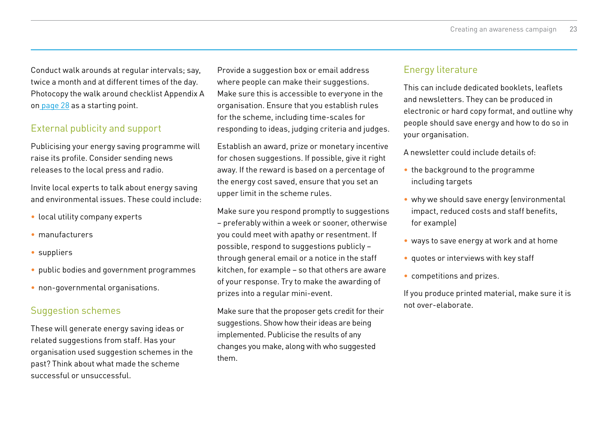Conduct walk arounds at regular intervals; say, twice a month and at different times of the day. Photocopy the walk around checklist Appendix A on [page 2](#page-27-0)8 as a starting point.

# External publicity and support

Publicising your energy saving programme will raise its profile. Consider sending news releases to the local press and radio.

Invite local experts to talk about energy saving and environmental issues. These could include:

- local utility company experts
- • manufacturers
- suppliers
- public bodies and government programmes
- non-governmental organisations.

# Suggestion schemes

These will generate energy saving ideas or related suggestions from staff. Has your organisation used suggestion schemes in the past? Think about what made the scheme successful or unsuccessful.

Provide a suggestion box or email address where people can make their suggestions. Make sure this is accessible to everyone in the organisation. Ensure that you establish rules for the scheme, including time-scales for responding to ideas, judging criteria and judges.

Establish an award, prize or monetary incentive for chosen suggestions. If possible, give it right away. If the reward is based on a percentage of the energy cost saved, ensure that you set an upper limit in the scheme rules.

Make sure you respond promptly to suggestions – preferably within a week or sooner, otherwise you could meet with apathy or resentment. If possible, respond to suggestions publicly – through general email or a notice in the staff kitchen, for example – so that others are aware of your response. Try to make the awarding of prizes into a regular mini-event.

Make sure that the proposer gets credit for their suggestions. Show how their ideas are being implemented. Publicise the results of any changes you make, along with who suggested them.

#### Energy literature

This can include dedicated booklets, leaflets and newsletters. They can be produced in electronic or hard copy format, and outline why people should save energy and how to do so in your organisation.

A newsletter could include details of:

- the background to the programme including targets
- why we should save energy (environmental impact, reduced costs and staff benefits, for example)
- ways to save energy at work and at home
- • quotes or interviews with key staff
- • competitions and prizes.

If you produce printed material, make sure it is not over-elaborate.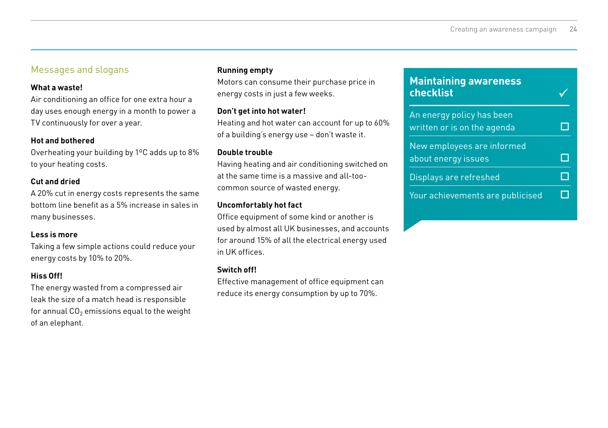# <span id="page-23-0"></span>Messages and slogans

#### **What a waste!**

Air conditioning an office for one extra hour a day uses enough energy in a month to power a TV continuously for over a year.

#### **Hot and bothered**

Overheating your building by 1ºC adds up to 8% to your heating costs.

#### **Cut and dried**

A 20% cut in energy costs represents the same bottom line benefit as a 5% increase in sales in many businesses.

#### **Less is more**

Taking a few simple actions could reduce your energy costs by 10% to 20%.

#### **Hiss Off!**

The energy wasted from a compressed air leak the size of a match head is responsible for annual  $CO<sub>2</sub>$  emissions equal to the weight of an elephant.

#### **Running empty**

Motors can consume their purchase price in energy costs in just a few weeks.

#### **Don't get into hot water!**

Heating and hot water can account for up to 60% of a building's energy use – don't waste it.

#### **Double trouble**

Having heating and air conditioning switched on at the same time is a massive and all-toocommon source of wasted energy.

#### **Uncomfortably hot fact**

Office equipment of some kind or another is used by almost all UK businesses, and accounts for around 15% of all the electrical energy used in UK offices.

#### **Switch off!**

Effective management of office equipment can reduce its energy consumption by up to 70%.

#### **Maintaining awareness checklist** ü

| An energy policy has been<br>written or is on the agenda |  |
|----------------------------------------------------------|--|
| New employees are informed<br>about energy issues        |  |
| Displays are refreshed                                   |  |
| Your achievements are publicised                         |  |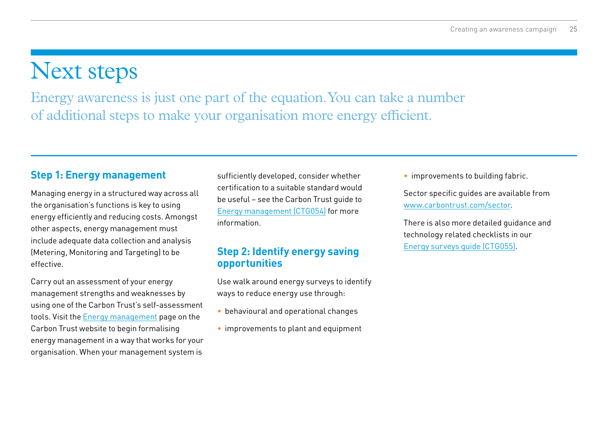# <span id="page-24-0"></span>Next steps

Energy awareness is just one part of the equation. You can take a number of additional steps to make your organisation more energy efficient.

# **Step 1: Energy management**

Managing energy in a structured way across all the organisation's functions is key to using energy efficiently and reducing costs. Amongst other aspects, energy management must include adequate data collection and analysis (Metering, Monitoring and Targeting) to be effective.

Carry out an assessment of your energy management strengths and weaknesses by using one of the Carbon Trust's self-assessment tools. Visit the [Energy management](http://www.carbontrust.com/energymanagement) page on the Carbon Trust website to begin formalising energy management in a way that works for your organisation. When your management system is

sufficiently developed, consider whether certification to a suitable standard would be useful – see the Carbon Trust guide to [Energy management \(CTG054\)](http://www.carbontrust.com/energymanagement) for more information.

# **Step 2: Identify energy saving opportunities**

Use walk around energy surveys to identify ways to reduce energy use through:

- behavioural and operational changes
- improvements to plant and equipment

• improvements to building fabric.

Sector specific guides are available from [www.carbontrust.com/sector.](http://www.carbontrust.com/sector)

There is also more detailed guidance and technology related checklists in our [Energy surveys guide \(CTG055\)](http://www.carbontrust.com/energymanagement).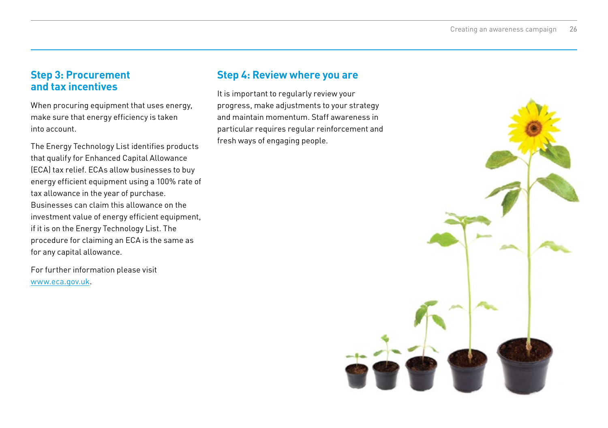# **Step 3: Procurement and tax incentives**

When procuring equipment that uses energy, make sure that energy efficiency is taken into account.

The Energy Technology List identifies products that qualify for Enhanced Capital Allowance (ECA) tax relief. ECAs allow businesses to buy energy efficient equipment using a 100% rate of tax allowance in the year of purchase. Businesses can claim this allowance on the investment value of energy efficient equipment, if it is on the Energy Technology List. The procedure for claiming an ECA is the same as for any capital allowance.

For further information please visit [www.eca.gov.uk](http://www.eca.gov.uk).

# **Step 4: Review where you are**

It is important to regularly review your progress, make adjustments to your strategy and maintain momentum. Staff awareness in particular requires regular reinforcement and fresh ways of engaging people.

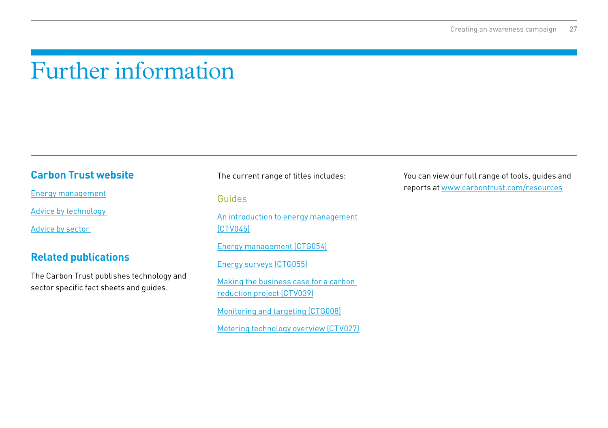# <span id="page-26-0"></span>Further information

# **Carbon Trust website**

[Energy management](http://www.carbontrust.com/energymanagement)

[Advice by technology](http://www.carbontrust.com/resources/guides/energy-efficiency/technology-and-energy-management-publications) 

[Advice by sector](http://www.carbontrust.com/sector) 

# **Related publications**

The Carbon Trust publishes technology and sector specific fact sheets and guides.

The current range of titles includes:

#### Guides

[An introduction to energy management](http://www.carbontrust.com/energymanagement)  [\(CTV045\)](http://www.carbontrust.com/energymanagement)

[Energy management \(CTG054\)](http://www.carbontrust.com/energymanagement)

[Energy surveys \(CTG055\)](http://www.carbontrust.com/energymanagement)

[Making the business case for a carbon](http://www.carbontrust.com/energymanagement)  [reduction project \(CTV039\)](http://www.carbontrust.com/energymanagement)

[Monitoring and targeting \(CTG008\)](http://www.carbontrust.com/energymanagement)

[Metering technology overview \(CTV027\)](http://www.carbontrust.com/energymanagement)

You can view our full range of tools, guides and reports at [www.carbontrust.com/resources](http://www.carbontrust.com/resources)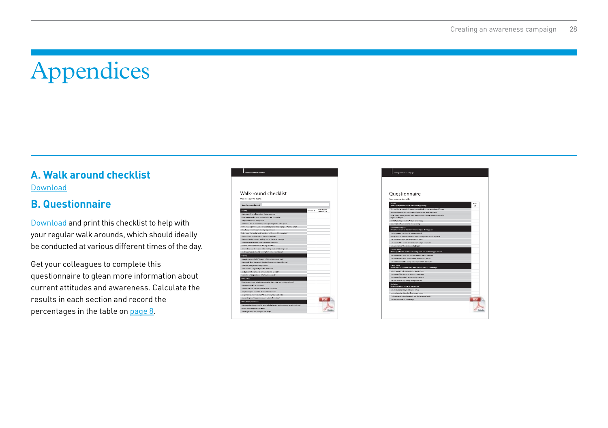# <span id="page-27-0"></span>Appendices

# **A. Walk around checklist**  [Download](http://www.carbontrust.com/media/436282/walk-round-checklist.pdf)

# **B. Questionnaire**

[Download](http://www.carbontrust.com/media/436286/questionnaire.pdf) and print this checklist to help with your regular walk arounds, which should ideally be conducted at various different times of the day.

Get your colleagues to complete this questionnaire to glean more information about current attitudes and awareness. Calculate the results in each section and record the percentages in the table on [page 8](#page-7-0).

| Walk-round checklist                                                                  |                   |                                        |
|---------------------------------------------------------------------------------------|-------------------|----------------------------------------|
|                                                                                       |                   |                                        |
|                                                                                       |                   |                                        |
|                                                                                       |                   |                                        |
| Note photocopy this check on                                                          |                   |                                        |
| Date of energy wall-round                                                             |                   |                                        |
|                                                                                       |                   |                                        |
| Hosting                                                                               | <b>Contact II</b> | <b>National Artists</b><br>noodod? Y/N |
| Are there staff complaints about the temperature?                                     |                   |                                        |
| Have heaters boards been seniced in the Ltd 12 months?                                |                   |                                        |
| Are postable heaters being used?                                                      |                   |                                        |
| Are heaters and air conditioning units operating in the same spece?                   |                   |                                        |
| If her water is provided, is it being wasted (such as dripping taps, or baking ampli- |                   |                                        |
| Do all areas have the same heating requirements?                                      |                   |                                        |
| Is the room thornorist working and set to the correct temperature?                    |                   |                                        |
| Are the timers weeking and on the carrect settings?                                   |                   |                                        |
| Any other heating control ( working and on the cannot rettings)                       |                   |                                        |
| Are these stella story, is found of substant or beaters?                              |                   |                                        |
| How are extractor farm controlled (e.g. in tourist)?                                  |                   |                                        |
| Are windows and doors open when heating or air conditioning is ce?                    |                   |                                        |
| Are there any cost draughts canning from windows or doors?                            |                   |                                        |
| Ughting                                                                               |                   |                                        |
| Are eights switched off iif develops sufficient hopes not in use/?                    |                   |                                        |
| Are any old, large diameter it 5 inched fluorescent tubes statin use?                 |                   |                                        |
| Are Lamps, fittings and rooflights crean?                                             |                   |                                        |
| Are traditional tungutan light backs stall in use?                                    |                   |                                        |
| An light syliches arranged conveniently and labelled?                                 |                   |                                        |
| Cedaron has not the best the period of the present                                    |                   |                                        |
| <b>Arthur Alling</b>                                                                  |                   |                                        |
| Have companies got bugs in energy seving features - and are they activated?           |                   |                                        |
| An computers oft on oversight?                                                        |                   |                                        |
| Any monitors and fans synthed off when not in yor?                                    |                   |                                        |
| Are photocopiers inceted in air conditioned areas?                                    |                   |                                        |
| Are printers and pheteopolers left on everticate's weekends?                          |                   |                                        |
| Are vending machines/water capacity left on all the time?                             |                   |                                        |
| a the factory/warehouse                                                               |                   |                                        |
|                                                                                       |                   |                                        |

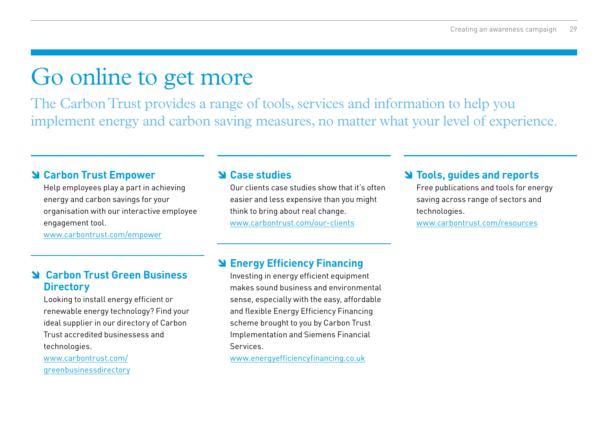# Go online to get more

The Carbon Trust provides a range of tools, services and information to help you implement energy and carbon saving measures, no matter what your level of experience.

# **Carbon Trust Empower**

 Help employees play a part in achieving energy and carbon savings for your organisation with our interactive employee engagement tool.

[www.carbontrust.co](http://www.carbontrust.com/empower)m/empower

#### **Case studies**

 Our clients case studies show that it's often easier and less expensive than you might think to bring about real change. [www.carbontrust.com/](http://www.carbontrust.com/our-clients)our-clients

# **Tools, guides and reports**

 Free publications and tools for energy saving across range of sectors and technologies.

[www.c](http://www.carbontrust.com/resources)arbontrust.com/resources

# **Carbon Trust Green Business Directory**

 Looking to install energy efficient or renewable energy technology? Find your ideal supplier in our directory of Carbon Trust accredited businessess and technologies.

[www.carbontrust.com/](http://www.carbontrust.com/greenbusinessdirectory) [greenbusinessdirectory](http://www.carbontrust.com/greenbusinessdirectory)

# **Energy Efficiency Financing**

 Investing in energy efficient equipment makes sound business and environmental sense, especially with the easy, affordable and flexible Energy Efficiency Financing scheme brought to you by Carbon Trust Implementation and Siemens Financial Services.

[www.energyefficiencyfinancing.co.uk](http://www.energyefficiencyfinancing.co.uk)